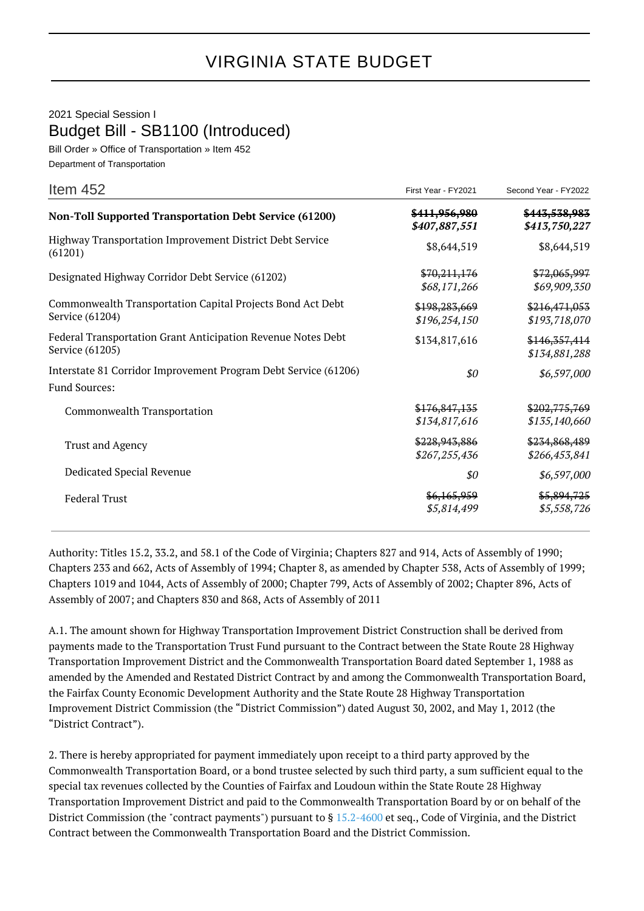## VIRGINIA STATE BUDGET

2021 Special Session I Budget Bill - SB1100 (Introduced)

Bill Order » Office of Transportation » Item 452 Department of Transportation

| Item $452$                                                                              | First Year - FY2021                   | Second Year - FY2022             |
|-----------------------------------------------------------------------------------------|---------------------------------------|----------------------------------|
| <b>Non-Toll Supported Transportation Debt Service (61200)</b>                           | \$411,956,980<br>\$407,887,551        | \$443,538,983<br>\$413,750,227   |
| Highway Transportation Improvement District Debt Service<br>(61201)                     | \$8,644,519                           | \$8,644,519                      |
| Designated Highway Corridor Debt Service (61202)                                        | \$70,211,176<br>\$68,171,266          | \$72,065,997<br>\$69,909,350     |
| Commonwealth Transportation Capital Projects Bond Act Debt<br>Service (61204)           | \$198,283,669<br>\$196,254,150        | \$216,471,053<br>\$193,718,070   |
| Federal Transportation Grant Anticipation Revenue Notes Debt<br>Service (61205)         | \$134,817,616                         | \$146, 357, 414<br>\$134,881,288 |
| Interstate 81 Corridor Improvement Program Debt Service (61206)<br><b>Fund Sources:</b> | \$0                                   | \$6,597,000                      |
| Commonwealth Transportation                                                             | \$176,847,135<br>\$134,817,616        | \$202,775,769<br>\$135,140,660   |
| Trust and Agency                                                                        | \$228,943,886<br>\$267,255,436        | \$234,868,489<br>\$266,453,841   |
| Dedicated Special Revenue                                                               | \$0                                   | \$6,597,000                      |
| <b>Federal Trust</b>                                                                    | <del>\$6,165,959</del><br>\$5,814,499 | \$5,894,725<br>\$5,558,726       |

Authority: Titles 15.2, 33.2, and 58.1 of the Code of Virginia; Chapters 827 and 914, Acts of Assembly of 1990; Chapters 233 and 662, Acts of Assembly of 1994; Chapter 8, as amended by Chapter 538, Acts of Assembly of 1999; Chapters 1019 and 1044, Acts of Assembly of 2000; Chapter 799, Acts of Assembly of 2002; Chapter 896, Acts of Assembly of 2007; and Chapters 830 and 868, Acts of Assembly of 2011

A.1. The amount shown for Highway Transportation Improvement District Construction shall be derived from payments made to the Transportation Trust Fund pursuant to the Contract between the State Route 28 Highway Transportation Improvement District and the Commonwealth Transportation Board dated September 1, 1988 as amended by the Amended and Restated District Contract by and among the Commonwealth Transportation Board, the Fairfax County Economic Development Authority and the State Route 28 Highway Transportation Improvement District Commission (the "District Commission") dated August 30, 2002, and May 1, 2012 (the "District Contract").

2. There is hereby appropriated for payment immediately upon receipt to a third party approved by the Commonwealth Transportation Board, or a bond trustee selected by such third party, a sum sufficient equal to the special tax revenues collected by the Counties of Fairfax and Loudoun within the State Route 28 Highway Transportation Improvement District and paid to the Commonwealth Transportation Board by or on behalf of the District Commission (the "contract payments") pursuant to § [15.2-4600](http://law.lis.virginia.gov/vacode/15.2-4600/) et seq., Code of Virginia, and the District Contract between the Commonwealth Transportation Board and the District Commission.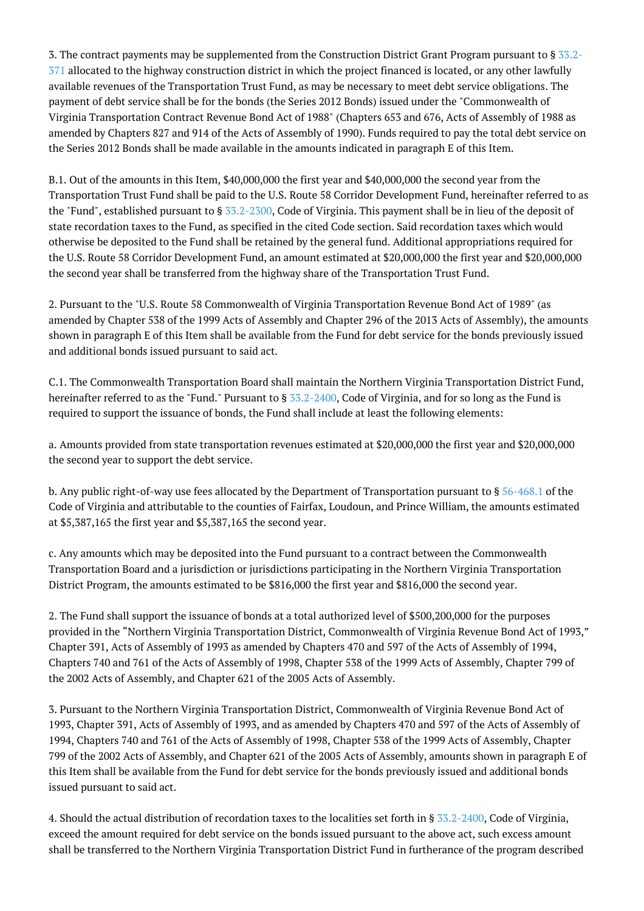3. The contract payments may be supplemented from the Construction District Grant Program pursuant to § [33.2-](http://law.lis.virginia.gov/vacode/33.2-371/) [371](http://law.lis.virginia.gov/vacode/33.2-371/) allocated to the highway construction district in which the project financed is located, or any other lawfully available revenues of the Transportation Trust Fund, as may be necessary to meet debt service obligations. The payment of debt service shall be for the bonds (the Series 2012 Bonds) issued under the "Commonwealth of Virginia Transportation Contract Revenue Bond Act of 1988" (Chapters 653 and 676, Acts of Assembly of 1988 as amended by Chapters 827 and 914 of the Acts of Assembly of 1990). Funds required to pay the total debt service on the Series 2012 Bonds shall be made available in the amounts indicated in paragraph E of this Item.

B.1. Out of the amounts in this Item, \$40,000,000 the first year and \$40,000,000 the second year from the Transportation Trust Fund shall be paid to the U.S. Route 58 Corridor Development Fund, hereinafter referred to as the "Fund", established pursuant to § [33.2-2300](http://law.lis.virginia.gov/vacode/33.2-2300/), Code of Virginia. This payment shall be in lieu of the deposit of state recordation taxes to the Fund, as specified in the cited Code section. Said recordation taxes which would otherwise be deposited to the Fund shall be retained by the general fund. Additional appropriations required for the U.S. Route 58 Corridor Development Fund, an amount estimated at \$20,000,000 the first year and \$20,000,000 the second year shall be transferred from the highway share of the Transportation Trust Fund.

2. Pursuant to the "U.S. Route 58 Commonwealth of Virginia Transportation Revenue Bond Act of 1989" (as amended by Chapter 538 of the 1999 Acts of Assembly and Chapter 296 of the 2013 Acts of Assembly), the amounts shown in paragraph E of this Item shall be available from the Fund for debt service for the bonds previously issued and additional bonds issued pursuant to said act.

C.1. The Commonwealth Transportation Board shall maintain the Northern Virginia Transportation District Fund, hereinafter referred to as the "Fund." Pursuant to § [33.2-2400,](http://law.lis.virginia.gov/vacode/33.2-2400/) Code of Virginia, and for so long as the Fund is required to support the issuance of bonds, the Fund shall include at least the following elements:

a. Amounts provided from state transportation revenues estimated at \$20,000,000 the first year and \$20,000,000 the second year to support the debt service.

b. Any public right-of-way use fees allocated by the Department of Transportation pursuant to § [56-468.1](http://law.lis.virginia.gov/vacode/56-468.1/) of the Code of Virginia and attributable to the counties of Fairfax, Loudoun, and Prince William, the amounts estimated at \$5,387,165 the first year and \$5,387,165 the second year.

c. Any amounts which may be deposited into the Fund pursuant to a contract between the Commonwealth Transportation Board and a jurisdiction or jurisdictions participating in the Northern Virginia Transportation District Program, the amounts estimated to be \$816,000 the first year and \$816,000 the second year.

2. The Fund shall support the issuance of bonds at a total authorized level of \$500,200,000 for the purposes provided in the "Northern Virginia Transportation District, Commonwealth of Virginia Revenue Bond Act of 1993," Chapter 391, Acts of Assembly of 1993 as amended by Chapters 470 and 597 of the Acts of Assembly of 1994, Chapters 740 and 761 of the Acts of Assembly of 1998, Chapter 538 of the 1999 Acts of Assembly, Chapter 799 of the 2002 Acts of Assembly, and Chapter 621 of the 2005 Acts of Assembly.

3. Pursuant to the Northern Virginia Transportation District, Commonwealth of Virginia Revenue Bond Act of 1993, Chapter 391, Acts of Assembly of 1993, and as amended by Chapters 470 and 597 of the Acts of Assembly of 1994, Chapters 740 and 761 of the Acts of Assembly of 1998, Chapter 538 of the 1999 Acts of Assembly, Chapter 799 of the 2002 Acts of Assembly, and Chapter 621 of the 2005 Acts of Assembly, amounts shown in paragraph E of this Item shall be available from the Fund for debt service for the bonds previously issued and additional bonds issued pursuant to said act.

4. Should the actual distribution of recordation taxes to the localities set forth in § [33.2-2400](http://law.lis.virginia.gov/vacode/33.2-2400/), Code of Virginia, exceed the amount required for debt service on the bonds issued pursuant to the above act, such excess amount shall be transferred to the Northern Virginia Transportation District Fund in furtherance of the program described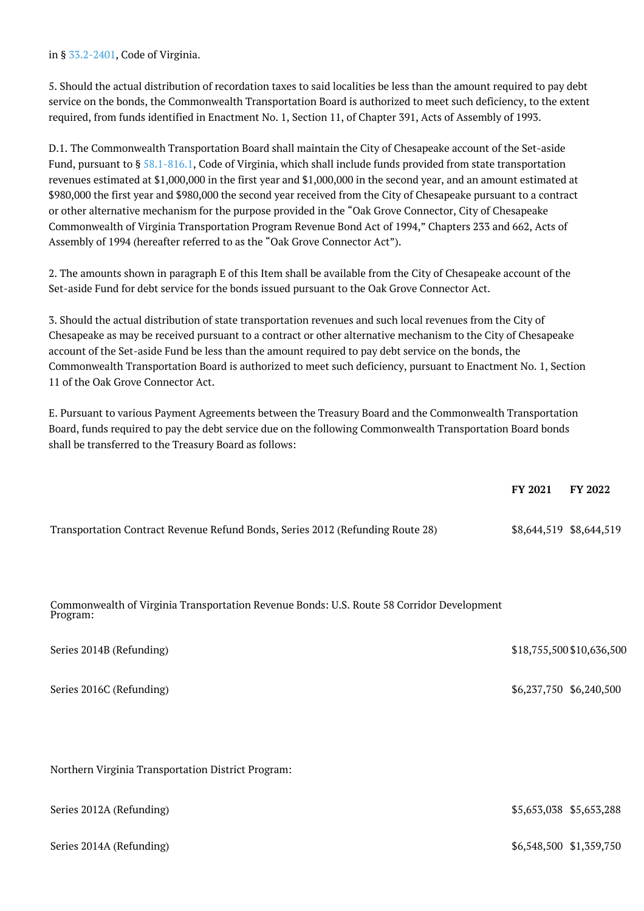in § [33.2-2401,](http://law.lis.virginia.gov/vacode/33.2-2401/) Code of Virginia.

5. Should the actual distribution of recordation taxes to said localities be less than the amount required to pay debt service on the bonds, the Commonwealth Transportation Board is authorized to meet such deficiency, to the extent required, from funds identified in Enactment No. 1, Section 11, of Chapter 391, Acts of Assembly of 1993.

D.1. The Commonwealth Transportation Board shall maintain the City of Chesapeake account of the Set-aside Fund, pursuant to § [58.1-816.1](http://law.lis.virginia.gov/vacode/58.1-816.1/), Code of Virginia, which shall include funds provided from state transportation revenues estimated at \$1,000,000 in the first year and \$1,000,000 in the second year, and an amount estimated at \$980,000 the first year and \$980,000 the second year received from the City of Chesapeake pursuant to a contract or other alternative mechanism for the purpose provided in the "Oak Grove Connector, City of Chesapeake Commonwealth of Virginia Transportation Program Revenue Bond Act of 1994," Chapters 233 and 662, Acts of Assembly of 1994 (hereafter referred to as the "Oak Grove Connector Act").

2. The amounts shown in paragraph E of this Item shall be available from the City of Chesapeake account of the Set-aside Fund for debt service for the bonds issued pursuant to the Oak Grove Connector Act.

3. Should the actual distribution of state transportation revenues and such local revenues from the City of Chesapeake as may be received pursuant to a contract or other alternative mechanism to the City of Chesapeake account of the Set-aside Fund be less than the amount required to pay debt service on the bonds, the Commonwealth Transportation Board is authorized to meet such deficiency, pursuant to Enactment No. 1, Section 11 of the Oak Grove Connector Act.

E. Pursuant to various Payment Agreements between the Treasury Board and the Commonwealth Transportation Board, funds required to pay the debt service due on the following Commonwealth Transportation Board bonds shall be transferred to the Treasury Board as follows:

|                                                                                | FY 2021                 | <b>FY 2022</b> |
|--------------------------------------------------------------------------------|-------------------------|----------------|
| Transportation Contract Revenue Refund Bonds, Series 2012 (Refunding Route 28) | \$8,644,519 \$8,644,519 |                |

Commonwealth of Virginia Transportation Revenue Bonds: U.S. Route 58 Corridor Development Program:

| Series 2014B (Refunding)                           | \$18,755,500 \$10,636,500 |
|----------------------------------------------------|---------------------------|
| Series 2016C (Refunding)                           | \$6,237,750 \$6,240,500   |
| Northern Virginia Transportation District Program: |                           |
| Series 2012A (Refunding)                           | \$5,653,038 \$5,653,288   |
| Series 2014A (Refunding)                           | \$6,548,500 \$1,359,750   |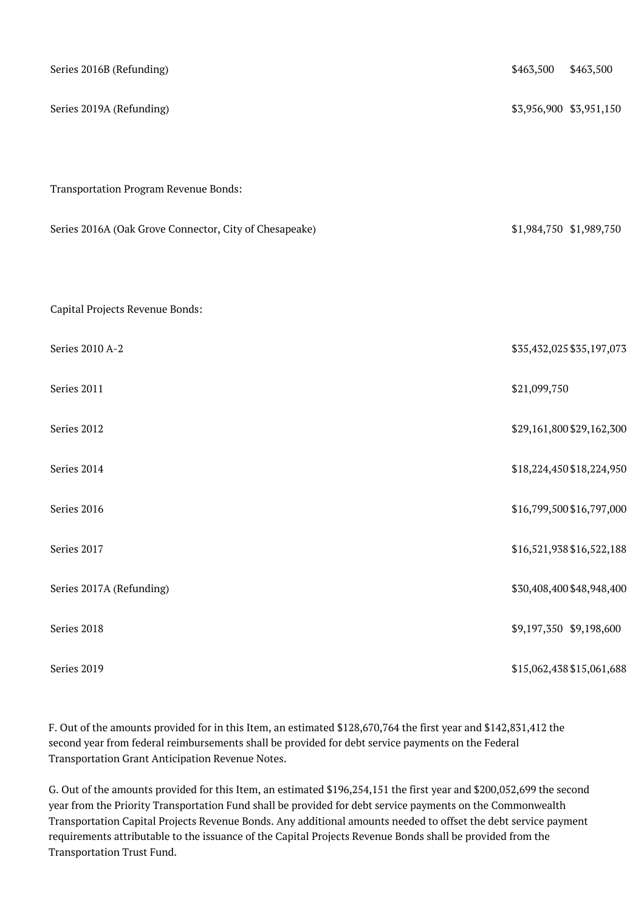| Series 2016B (Refunding)                               | \$463,500               | \$463,500                 |
|--------------------------------------------------------|-------------------------|---------------------------|
| Series 2019A (Refunding)                               | \$3,956,900 \$3,951,150 |                           |
|                                                        |                         |                           |
| Transportation Program Revenue Bonds:                  |                         |                           |
| Series 2016A (Oak Grove Connector, City of Chesapeake) | \$1,984,750 \$1,989,750 |                           |
|                                                        |                         |                           |
| Capital Projects Revenue Bonds:                        |                         |                           |
| Series 2010 A-2                                        |                         | \$35,432,025 \$35,197,073 |
| Series 2011                                            | \$21,099,750            |                           |
| Series 2012                                            |                         | \$29,161,800 \$29,162,300 |
| Series 2014                                            |                         | \$18,224,450 \$18,224,950 |
| Series 2016                                            |                         | \$16,799,500 \$16,797,000 |
| Series 2017                                            |                         | \$16,521,938 \$16,522,188 |
| Series 2017A (Refunding)                               |                         | \$30,408,400 \$48,948,400 |
| Series 2018                                            | \$9,197,350 \$9,198,600 |                           |
| Series 2019                                            |                         | \$15,062,438 \$15,061,688 |

F. Out of the amounts provided for in this Item, an estimated \$128,670,764 the first year and \$142,831,412 the second year from federal reimbursements shall be provided for debt service payments on the Federal Transportation Grant Anticipation Revenue Notes.

G. Out of the amounts provided for this Item, an estimated \$196,254,151 the first year and \$200,052,699 the second year from the Priority Transportation Fund shall be provided for debt service payments on the Commonwealth Transportation Capital Projects Revenue Bonds. Any additional amounts needed to offset the debt service payment requirements attributable to the issuance of the Capital Projects Revenue Bonds shall be provided from the Transportation Trust Fund.